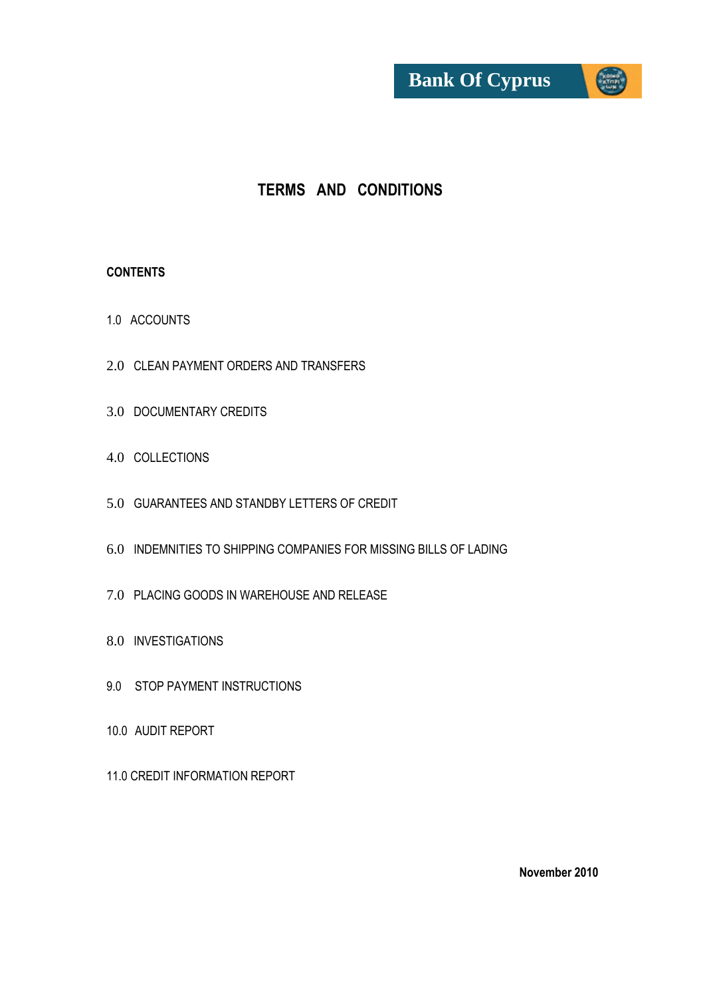

# **TERMS AND CONDITIONS**

#### **CONTENTS**

- 1.0 ACCOUNTS
- 2.0 CLEAN PAYMENT ORDERS AND TRANSFERS
- 3.0 DOCUMENTARY CREDITS
- 4.0 COLLECTIONS
- 5.0 GUARANTEES AND STANDBY LETTERS OF CREDIT
- 6.0 INDEMNITIES TO SHIPPING COMPANIES FOR MISSING BILLS OF LADING
- 7.0 PLACING GOODS IN WAREHOUSE AND RELEASE
- 8.0 INVESTIGATIONS
- 9.0 STOP PAYMENT INSTRUCTIONS
- 10.0 AUDIT REPORT
- 11.0 CREDIT INFORMATION REPORT

**November 2010**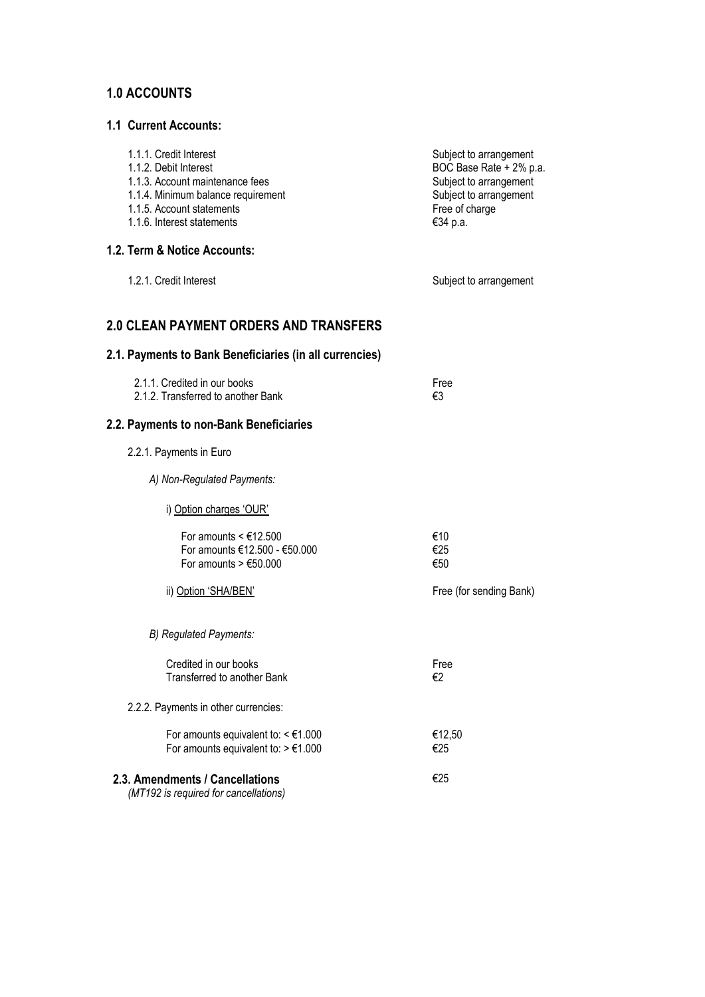# **1.0 ACCOUNTS**

#### **1.1 Current Accounts:**

| 1.1.1. Credit Interest<br>1.1.2. Debit Interest<br>1.1.3. Account maintenance fees<br>1.1.4. Minimum balance requirement<br>1.1.5. Account statements<br>1.1.6. Interest statements | Subject to arrangement<br>BOC Base Rate + 2% p.a.<br>Subject to arrangement<br>Subject to arrangement<br>Free of charge<br>€34 p.a. |
|-------------------------------------------------------------------------------------------------------------------------------------------------------------------------------------|-------------------------------------------------------------------------------------------------------------------------------------|
| 1.2. Term & Notice Accounts:                                                                                                                                                        |                                                                                                                                     |
| 1.2.1. Credit Interest                                                                                                                                                              | Subject to arrangement                                                                                                              |
| <b>2.0 CLEAN PAYMENT ORDERS AND TRANSFERS</b>                                                                                                                                       |                                                                                                                                     |
| 2.1. Payments to Bank Beneficiaries (in all currencies)                                                                                                                             |                                                                                                                                     |
| 2.1.1. Credited in our books<br>2.1.2. Transferred to another Bank                                                                                                                  | Free<br>€3                                                                                                                          |
| 2.2. Payments to non-Bank Beneficiaries                                                                                                                                             |                                                                                                                                     |
| 2.2.1. Payments in Euro                                                                                                                                                             |                                                                                                                                     |
| A) Non-Regulated Payments:                                                                                                                                                          |                                                                                                                                     |
| i) Option charges 'OUR'                                                                                                                                                             |                                                                                                                                     |
| For amounts $\leq$ £12.500<br>For amounts €12.500 - €50.000<br>For amounts $> \text{\textsterling}50.000$                                                                           | €10<br>€25<br>€50                                                                                                                   |
| ii) Option 'SHA/BEN'                                                                                                                                                                | Free (for sending Bank)                                                                                                             |
| B) Regulated Payments:                                                                                                                                                              |                                                                                                                                     |
| Credited in our books<br>Transferred to another Bank                                                                                                                                | Free<br>€2                                                                                                                          |
| 2.2.2. Payments in other currencies:                                                                                                                                                |                                                                                                                                     |
| For amounts equivalent to: $\leq \text{\ensuremath{\mathsf{E}}} 1.000$<br>For amounts equivalent to: $> \text{\textsterling}1.000$                                                  | €12,50<br>€25                                                                                                                       |
| 2.3. Amendments / Cancellations<br>(MT192 is required for cancellations)                                                                                                            | €25                                                                                                                                 |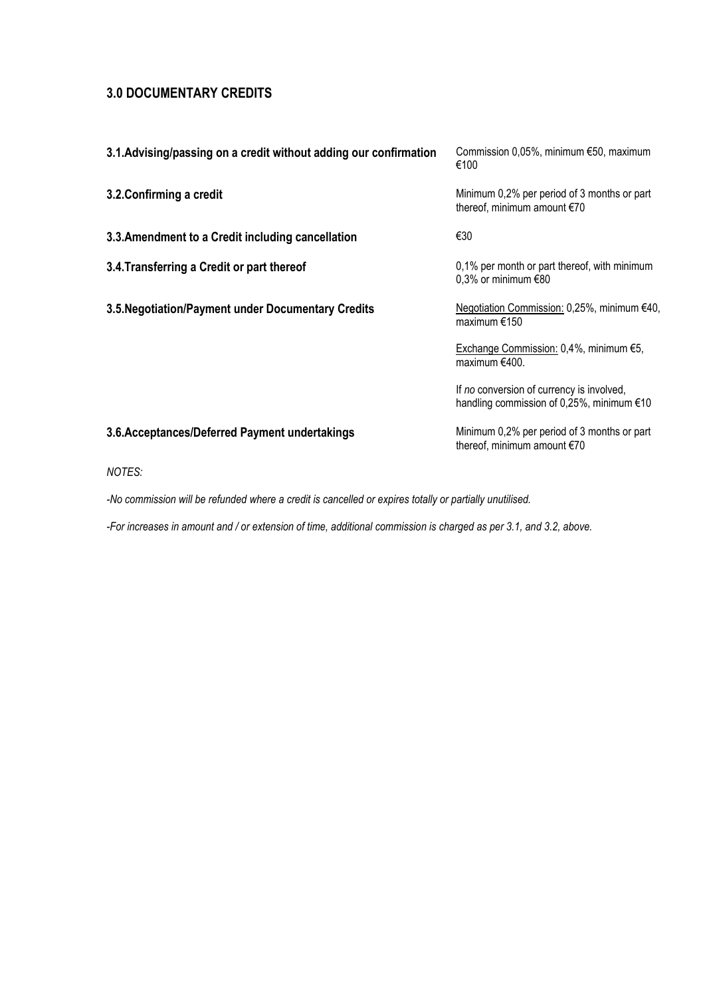## **3.0 DOCUMENTARY CREDITS**

| 3.1. Advising/passing on a credit without adding our confirmation | Commission $0.05\%$ , minimum $\epsilon$ 50, maximum<br>€100                             |
|-------------------------------------------------------------------|------------------------------------------------------------------------------------------|
| 3.2. Confirming a credit                                          | Minimum 0,2% per period of 3 months or part<br>thereof, minimum amount €70               |
| 3.3. Amendment to a Credit including cancellation                 | €30                                                                                      |
| 3.4. Transferring a Credit or part thereof                        | 0,1% per month or part thereof, with minimum<br>0,3% or minimum $€80$                    |
| 3.5. Negotiation/Payment under Documentary Credits                | Negotiation Commission: 0,25%, minimum €40,<br>maximum $€150$                            |
|                                                                   | Exchange Commission: 0,4%, minimum €5,<br>maximum €400.                                  |
|                                                                   | If no conversion of currency is involved,<br>handling commission of 0,25%, minimum $€10$ |
| 3.6. Acceptances/Deferred Payment undertakings                    | Minimum 0,2% per period of 3 months or part<br>thereof, minimum amount €70               |

*NOTES:*

*-No commission will be refunded where a credit is cancelled or expires totally or partially unutilised.*

*-For increases in amount and / or extension of time, additional commission is charged as per 3.1, and 3.2, above.*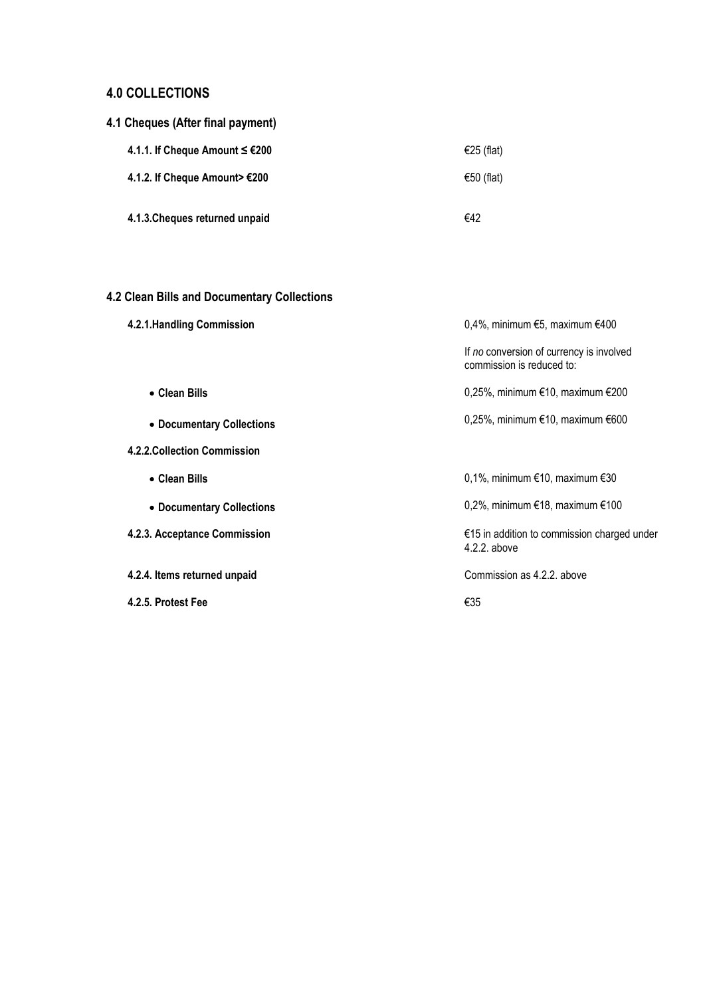## **4.0 COLLECTIONS**

|  | 4.1 Cheques (After final payment) |  |
|--|-----------------------------------|--|
|  |                                   |  |

| 4.1.1. If Cheque Amount $≤ €200$ | €25 (flat) |
|----------------------------------|------------|
| 4.1.2. If Cheque Amount> €200    | €50 (flat) |
| 4.1.3. Cheques returned unpaid   | €42        |

# **4.2 Clean Bills and Documentary Collections**

| 4.2.1. Handling Commission   | 0,4%, minimum $€5$ , maximum $€400$                                   |  |
|------------------------------|-----------------------------------------------------------------------|--|
|                              | If no conversion of currency is involved<br>commission is reduced to: |  |
| • Clean Bills                | 0,25%, minimum €10, maximum €200                                      |  |
| • Documentary Collections    | 0,25%, minimum €10, maximum €600                                      |  |
| 4.2.2. Collection Commission |                                                                       |  |
| • Clean Bills                | 0,1%, minimum $€10$ , maximum $€30$                                   |  |
| • Documentary Collections    | 0,2%, minimum €18, maximum €100                                       |  |
| 4.2.3. Acceptance Commission | €15 in addition to commission charged under<br>4.2.2. above           |  |
| 4.2.4. Items returned unpaid | Commission as 4.2.2, above                                            |  |
| 4.2.5. Protest Fee           | €35                                                                   |  |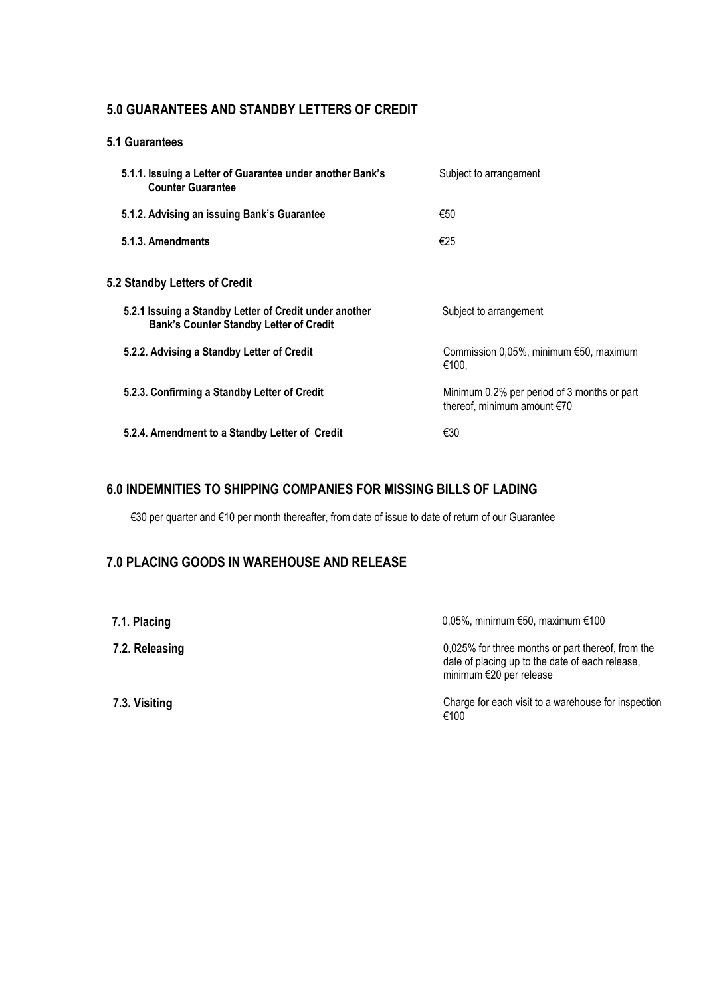### **5.0 GUARANTEES AND STANDBY LETTERS OF CREDIT**

#### **5.1 Guarantees**

| Subject to arrangement                                                     |
|----------------------------------------------------------------------------|
| €50                                                                        |
| €25                                                                        |
|                                                                            |
| Subject to arrangement                                                     |
| Commission $0.05\%$ , minimum $€50$ , maximum<br>€100.                     |
| Minimum 0,2% per period of 3 months or part<br>thereof, minimum amount €70 |
| €30                                                                        |
|                                                                            |

### **6.0 INDEMNITIES TO SHIPPING COMPANIES FOR MISSING BILLS OF LADING**

€30 per quarter and €10 per month thereafter, from date of issue to date of return of our Guarantee

## **7.0 PLACING GOODS IN WAREHOUSE AND RELEASE**

| 7.1. Placing   | 0,05%, minimum $€50$ , maximum $€100$                                                                                           |
|----------------|---------------------------------------------------------------------------------------------------------------------------------|
| 7.2. Releasing | 0,025% for three months or part thereof, from the<br>date of placing up to the date of each release,<br>minimum €20 per release |
| 7.3. Visiting  | Charge for each visit to a warehouse for inspection<br>€100                                                                     |